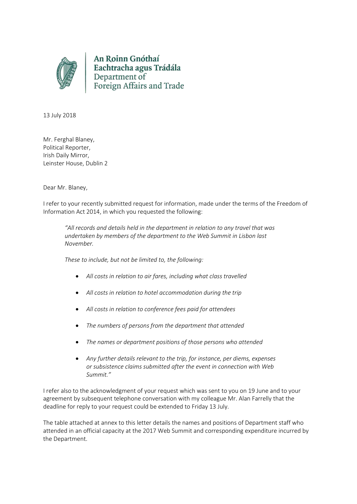

An Roinn Gnóthaí Eachtracha agus Trádála<br>Department of<br>Foreign Affairs and Trade

13 July 2018

Mr. Ferghal Blaney, Political Reporter, Irish Daily Mirror, Leinster House, Dublin 2

Dear Mr. Blaney,

I refer to your recently submitted request for information, made under the terms of the Freedom of Information Act 2014, in which you requested the following:

*"All records and details held in the department in relation to any travel that was undertaken by members of the department to the Web Summit in Lisbon last November.* 

*These to include, but not be limited to, the following:* 

- *All costs in relation to air fares, including what class travelled*
- *All costs in relation to hotel accommodation during the trip*
- *All costs in relation to conference fees paid for attendees*
- *The numbers of persons from the department that attended*
- *The names or department positions of those persons who attended*
- *Any further details relevant to the trip, for instance, per diems, expenses or subsistence claims submitted after the event in connection with Web Summit."*

I refer also to the acknowledgment of your request which was sent to you on 19 June and to your agreement by subsequent telephone conversation with my colleague Mr. Alan Farrelly that the deadline for reply to your request could be extended to Friday 13 July.

The table attached at annex to this letter details the names and positions of Department staff who attended in an official capacity at the 2017 Web Summit and corresponding expenditure incurred by the Department.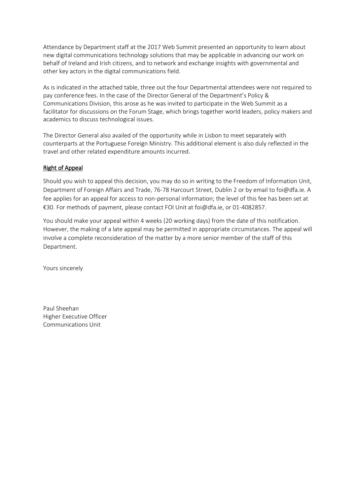Attendance by Department staff at the 2017 Web Summit presented an opportunity to learn about new digital communications technology solutions that may be applicable in advancing our work on behalf of Ireland and Irish citizens, and to network and exchange insights with governmental and other key actors in the digital communications field.

As is indicated in the attached table, three out the four Departmental attendees were not required to pay conference fees. In the case of the Director General of the Department's Policy & Communications Division, this arose as he was invited to participate in the Web Summit as a facilitator for discussions on the Forum Stage, which brings together world leaders, policy makers and academics to discuss technological issues.

The Director General also availed of the opportunity while in Lisbon to meet separately with counterparts at the Portuguese Foreign Ministry. This additional element is also duly reflected in the travel and other related expenditure amounts incurred.

## Right of Appeal

Should you wish to appeal this decision, you may do so in writing to the Freedom of Information Unit, Department of Foreign Affairs and Trade, 76-78 Harcourt Street, Dublin 2 or by email to foi@dfa.ie. A fee applies for an appeal for access to non-personal information; the level of this fee has been set at €30. For methods of payment, please contact FOI Unit at foi@dfa.ie, or 01-4082857.

You should make your appeal within 4 weeks (20 working days) from the date of this notification. However, the making of a late appeal may be permitted in appropriate circumstances. The appeal will involve a complete reconsideration of the matter by a more senior member of the staff of this Department.

Yours sincerely

Paul Sheehan Higher Executive Officer Communications Unit